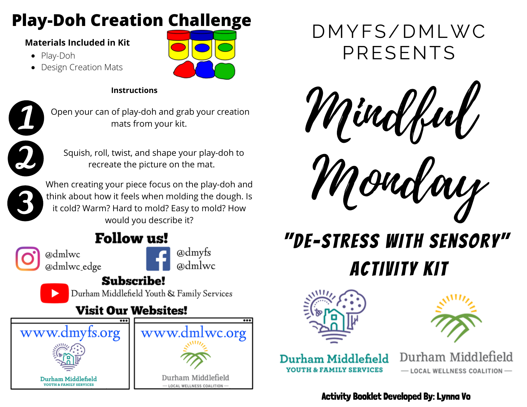## **Play-Doh Creation Challenge**

#### **Materials Included in Kit**

- Play-Doh
- Design Creation Mats



#### **Instructions**



Open your can of play-doh and grab your creation mats from your kit.



Squish, roll, twist, and shape your play-doh to



recreate the picture on the mat.<br>When creating your piece focus on the play-doh and think about how it feels when molding the dough. Is it cold? Warm? Hard to mold? Easy to mold? How would you describe it?

## **Follow us!**

@dmlwc @dmlwc edge



### **Subscribe!**

Durham Middlefield Youth & Family Services

### **Visit Our Websites!**





Mindful



# "De-Stress With Sensory" Activity Kit





Durham Middlefield **YOUTH & FAMILY SERVICES** 

Durham Middlefield - LOCAL WELLNESS COALITION-

### Activity Booklet Developed By: Lynna Vo